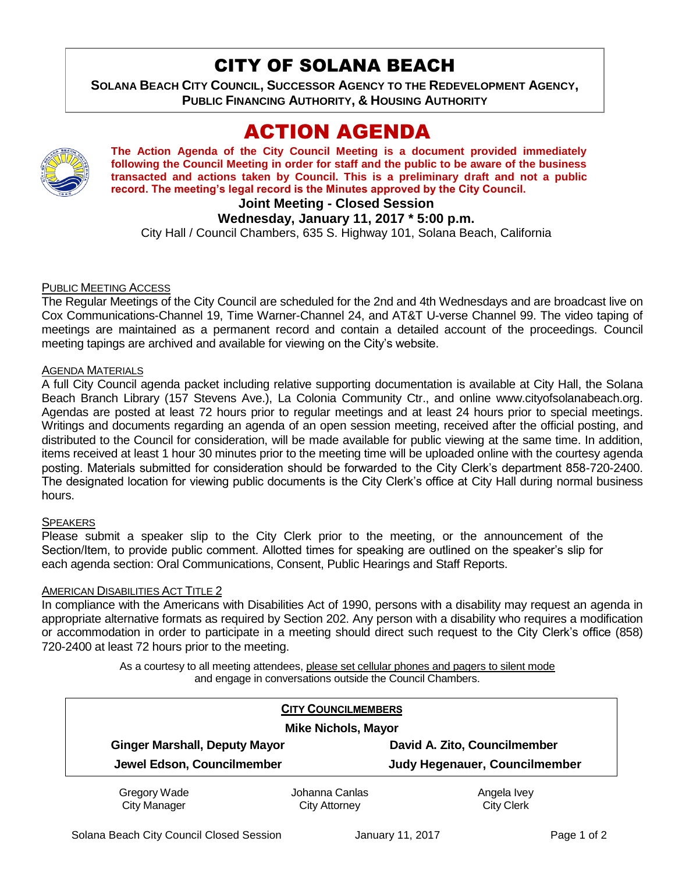## CITY OF SOLANA BEACH

**SOLANA BEACH CITY COUNCIL, SUCCESSOR AGENCY TO THE REDEVELOPMENT AGENCY, PUBLIC FINANCING AUTHORITY, & HOUSING AUTHORITY** 

# ACTION AGENDA



**The Action Agenda of the City Council Meeting is a document provided immediately following the Council Meeting in order for staff and the public to be aware of the business transacted and actions taken by Council. This is a preliminary draft and not a public record. The meeting's legal record is the Minutes approved by the City Council.**

## **Joint Meeting - Closed Session**

### **Wednesday, January 11, 2017 \* 5:00 p.m.**

City Hall / Council Chambers, 635 S. Highway 101, Solana Beach, California

### PUBLIC MEETING ACCESS

The Regular Meetings of the City Council are scheduled for the 2nd and 4th Wednesdays and are broadcast live on Cox Communications-Channel 19, Time Warner-Channel 24, and AT&T U-verse Channel 99. The video taping of meetings are maintained as a permanent record and contain a detailed account of the proceedings. Council meeting tapings are archived and available for viewing on the City's website.

#### AGENDA MATERIALS

A full City Council agenda packet including relative supporting documentation is available at City Hall, the Solana Beach Branch Library (157 Stevens Ave.), La Colonia Community Ctr., and online www.cityofsolanabeach.org. Agendas are posted at least 72 hours prior to regular meetings and at least 24 hours prior to special meetings. Writings and documents regarding an agenda of an open session meeting, received after the official posting, and distributed to the Council for consideration, will be made available for public viewing at the same time. In addition, items received at least 1 hour 30 minutes prior to the meeting time will be uploaded online with the courtesy agenda posting. Materials submitted for consideration should be forwarded to the City Clerk's department 858-720-2400. The designated location for viewing public documents is the City Clerk's office at City Hall during normal business hours.

#### **SPEAKERS**

Please submit a speaker slip to the City Clerk prior to the meeting, or the announcement of the Section/Item, to provide public comment. Allotted times for speaking are outlined on the speaker's slip for each agenda section: Oral Communications, Consent, Public Hearings and Staff Reports.

#### AMERICAN DISABILITIES ACT TITLE 2

In compliance with the Americans with Disabilities Act of 1990, persons with a disability may request an agenda in appropriate alternative formats as required by Section 202. Any person with a disability who requires a modification or accommodation in order to participate in a meeting should direct such request to the City Clerk's office (858) 720-2400 at least 72 hours prior to the meeting.

> As a courtesy to all meeting attendees, please set cellular phones and pagers to silent mode and engage in conversations outside the Council Chambers.

| <b>CITY COUNCILMEMBERS</b><br><b>Mike Nichols, Mayor</b> |                |                               |
|----------------------------------------------------------|----------------|-------------------------------|
|                                                          |                |                               |
| Jewel Edson, Councilmember                               |                | Judy Hegenauer, Councilmember |
| Gregory Wade                                             | Johanna Canlas | Angela Ivey                   |
| <b>City Manager</b>                                      | City Attorney  | <b>City Clerk</b>             |